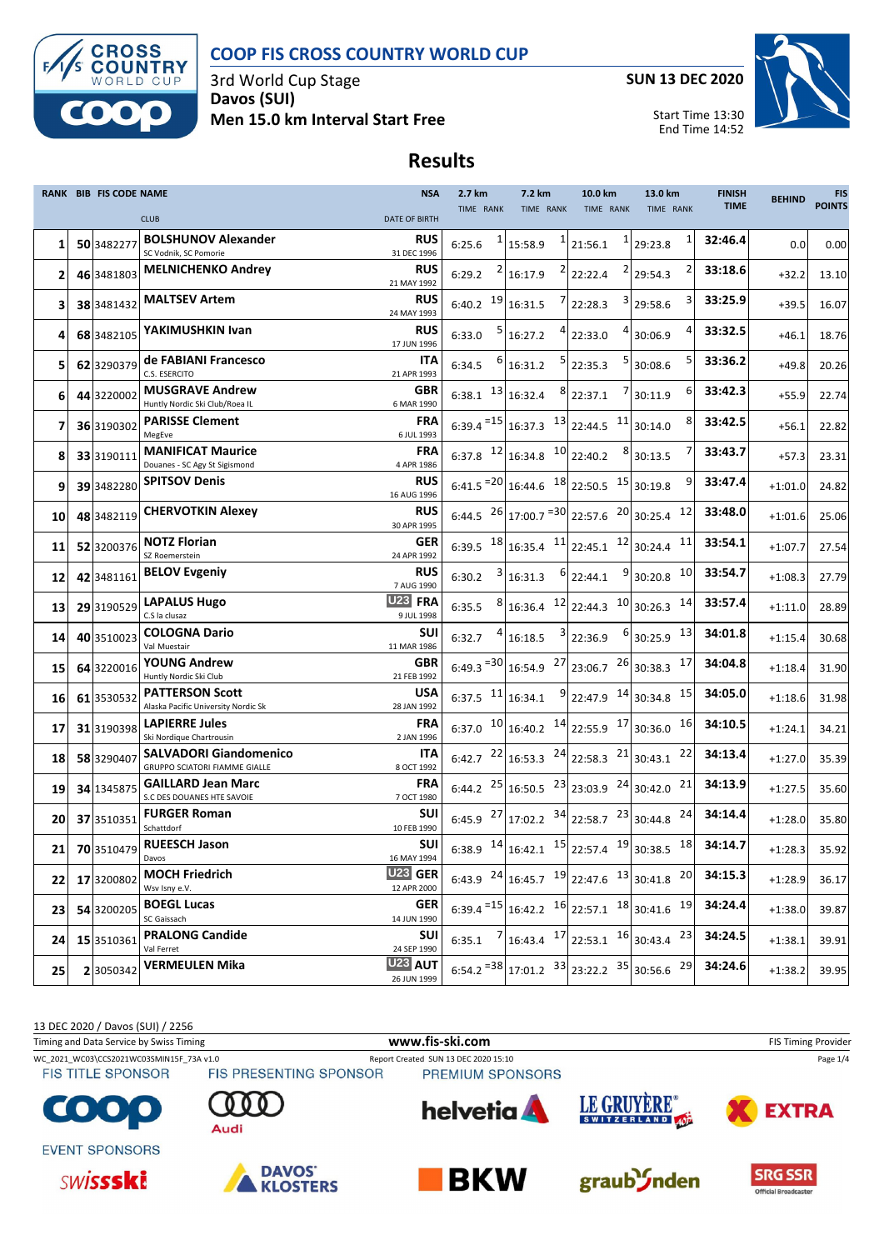

3rd World Cup Stage **Davos (SUI) Men 15.0 km Interval Start Free** **SUN 13 DEC 2020**

End Time 14:52



.<br>Official Broadcaster

#### **Results**

|              | <b>RANK BIB FIS CODE NAME</b> |                                                                       | <b>NSA</b>                    | 2.7 km                 | 7.2 km                                     | 10.0 km                                                                                                          | 13.0 km                                                        | <b>FINISH</b> | <b>BEHIND</b> | <b>FIS</b><br><b>POINTS</b> |
|--------------|-------------------------------|-----------------------------------------------------------------------|-------------------------------|------------------------|--------------------------------------------|------------------------------------------------------------------------------------------------------------------|----------------------------------------------------------------|---------------|---------------|-----------------------------|
|              |                               | <b>CLUB</b>                                                           | DATE OF BIRTH                 | TIME RANK              | <b>TIME RANK</b>                           | TIME RANK                                                                                                        | TIME RANK                                                      | <b>TIME</b>   |               |                             |
| 1            | 50 3482277                    | <b>BOLSHUNOV Alexander</b><br>SC Vodnik, SC Pomorie                   | RUS<br>31 DEC 1996            | 6:25.6                 | 15:58.9                                    | 21:56.1                                                                                                          | $1$   29:23.8                                                  | 32:46.4       | 0.0           | 0.00                        |
| $\mathbf{2}$ | 46 3481803                    | <b>MELNICHENKO Andrey</b>                                             | <b>RUS</b><br>21 MAY 1992     | 6:29.2                 | 16:17.9                                    | 22:22.4                                                                                                          | 2 29:54.3                                                      | 33:18.6       | $+32.2$       | 13.10                       |
| з            | 38 3481432                    | <b>MALTSEV Artem</b>                                                  | RUS<br>24 MAY 1993            | 19<br>6:40.2           | 16:31.5                                    | 22:28.3                                                                                                          | $3$ 29:58.6                                                    | 33:25.9       | $+39.5$       | 16.07                       |
| 4            | 68 3482105                    | YAKIMUSHKIN Ivan                                                      | <b>RUS</b><br>17 JUN 1996     | 6:33.0                 | 16:27.2                                    | 22:33.0                                                                                                          | 4 30:06.9                                                      | 33:32.5       | $+46.1$       | 18.76                       |
| 5            | 62 3290379                    | de FABIANI Francesco<br>C.S. ESERCITO                                 | ITA<br>21 APR 1993            | 6:34.5                 | 16:31.2                                    | 22:35.3                                                                                                          | $5$ 30:08.6                                                    | 33:36.2       | $+49.8$       | 20.26                       |
| 6            | 44 3220002                    | <b>MUSGRAVE Andrew</b><br>Huntly Nordic Ski Club/Roea IL              | GBR<br>6 MAR 1990             | $6:38.1$ $13$          | 16:32.4                                    | 22:37.1                                                                                                          | 6<br>7 30:11.9                                                 | 33:42.3       | $+55.9$       | 22.74                       |
| 7            | 36 3190302                    | <b>PARISSE Clement</b><br>MegEve                                      | <b>FRA</b><br>6 JUL 1993      | $6:39.4 = 15$          | $16:37.3$ $13$ 22:44.5                     |                                                                                                                  | $11$ 30:14.0                                                   | 33:42.5       | $+56.1$       | 22.82                       |
| 8            | 33 3190111                    | <b>MANIFICAT Maurice</b><br>Douanes - SC Agy St Sigismond             | <b>FRA</b><br>4 APR 1986      | $6:37.8$ <sup>12</sup> | $16:34.8$ $10$ 22:40.2                     |                                                                                                                  | $8$ 30:13.5                                                    | 33:43.7       | $+57.3$       | 23.31                       |
| 9            | 39 3482280                    | <b>SPITSOV Denis</b>                                                  | RUS<br>16 AUG 1996            |                        |                                            | $6:41.5$ <sup>=20</sup> 16:44.6 <sup>18</sup> 22:50.5 <sup>15</sup> 30:19.8                                      |                                                                | 33:47.4       | $+1:01.0$     | 24.82                       |
| 10           | 48 3482119                    | <b>CHERVOTKIN Alexey</b>                                              | <b>RUS</b><br>30 APR 1995     |                        |                                            | 6:44.5 $^{26}$ 17:00.7 $^{=30}$ 22:57.6 $^{20}$ 30:25.4                                                          | 12                                                             | 33:48.0       | $+1:01.6$     | 25.06                       |
| 11           | 52 3200376                    | <b>NOTZ Florian</b><br>SZ Roemerstein                                 | GER<br>24 APR 1992            |                        | 6:39.5 $18 \mid 16:35.4$ $11 \mid 22:45.1$ |                                                                                                                  | 12 30:24.4<br>11                                               | 33:54.1       | $+1:07.7$     | 27.54                       |
| 12           | 42 3481161                    | <b>BELOV Evgeniy</b>                                                  | <b>RUS</b><br>7 AUG 1990      | 6:30.2                 | $6 \mid$<br>16:31.3                        | 22:44.1                                                                                                          | 10<br>9 30:20.8                                                | 33:54.7       | $+1:08.3$     | 27.79                       |
| 13           | 29 3190529                    | <b>LAPALUS Hugo</b><br>C.S la clusaz                                  | U23 FRA<br>9 JUL 1998         | 6:35.5                 | $16:36.4$ $12$ 22:44.3                     |                                                                                                                  | $10$ 30:26.3<br>14                                             | 33:57.4       | $+1:11.0$     | 28.89                       |
| 14           | 40 3510023                    | <b>COLOGNA Dario</b><br>Val Muestair                                  | <b>SUI</b><br>11 MAR 1986     | 6:32.7                 | 16:18.5                                    | 22:36.9                                                                                                          | 13<br>$6$ 30:25.9                                              | 34:01.8       | $+1:15.4$     | 30.68                       |
| 15           | 64 3220016                    | <b>YOUNG Andrew</b><br>Huntly Nordic Ski Club                         | <b>GBR</b><br>21 FEB 1992     |                        |                                            | $6:49.3$ <sup>=30</sup> 16:54.9 $^{27}$ 23:06.7 $^{26}$ 30:38.3                                                  | 17                                                             | 34:04.8       | $+1:18.4$     | 31.90                       |
| 16           | 61 3530532                    | <b>PATTERSON Scott</b><br>Alaska Pacific University Nordic Sk         | <b>USA</b><br>28 JAN 1992     | 6:37.5 $11$            | 16:34.1                                    | $9$ 22:47.9 $14$ 30:34.8                                                                                         | 15                                                             | 34:05.0       | $+1:18.6$     | 31.98                       |
| 17           | 31 3190398                    | <b>LAPIERRE Jules</b><br>Ski Nordique Chartrousin                     | <b>FRA</b><br>2 JAN 1996      |                        |                                            | 6:37.0 $10 \begin{vmatrix} 16:40.2 \\ 14 \end{vmatrix}$ 22:55.9 $17 \begin{vmatrix} 30:36.0 \\ 20 \end{vmatrix}$ | 16                                                             | 34:10.5       | $+1:24.1$     | 34.21                       |
| 18           | 58 3290407                    | <b>SALVADORI Giandomenico</b><br><b>GRUPPO SCIATORI FIAMME GIALLE</b> | ITA<br>8 OCT 1992             | 6:42.7                 | $22 16:53.3 \t24 22:58.3$                  |                                                                                                                  | $21$ 30:43.1<br>22                                             | 34:13.4       | $+1:27.0$     | 35.39                       |
| 19           | 34 1345875                    | <b>GAILLARD Jean Marc</b><br>S.C DES DOUANES HTE SAVOIE               | <b>FRA</b><br>7 OCT 1980      |                        |                                            | 6:44.2 $^{25}$ 16:50.5 $^{23}$ 23:03.9 $^{24}$ 30:42.0                                                           | 21                                                             | 34:13.9       | $+1:27.5$     | 35.60                       |
| 20           | 37 3510351                    | <b>FURGER Roman</b><br>Schattdorf                                     | <b>SUI</b><br>10 FEB 1990     |                        |                                            | 6:45.9 $^{27}$ 17:02.2 $^{34}$ 22:58.7 $^{23}$ 30:44.8                                                           | 24                                                             | 34:14.4       | $+1:28.0$     | 35.80                       |
|              |                               | 21 70 3510479 RUEESCH Jason<br>Davos                                  | SUI<br>16 MAY 1994            |                        |                                            |                                                                                                                  | 6:38.9 $14$ 16:42.1 $15$ 22:57.4 $19$ 30:38.5 $18$             | 34:14.7       | $+1:28.3$     | 35.92                       |
| 221          | 17 3200802                    | <b>MOCH Friedrich</b><br>Wsv Isny e.V.                                | <b>U23 GER</b><br>12 APR 2000 |                        |                                            |                                                                                                                  | 6:43.9 $^{24}$ 16:45.7 $^{19}$ 22:47.6 $^{13}$ 30:41.8 $^{20}$ | 34:15.3       | $+1:28.9$     | 36.17                       |
| 23           | 54 3200205                    | <b>BOEGL Lucas</b><br>SC Gaissach                                     | <b>GER</b><br>14 JUN 1990     |                        |                                            |                                                                                                                  | $6:39.4$ <sup>=15</sup> 16:42.2 $16$ 22:57.1 $18$ 30:41.6 $19$ | 34:24.4       | $+1:38.0$     | 39.87                       |
| 24           | 15 3510361                    | <b>PRALONG Candide</b><br>Val Ferret                                  | <b>SUI</b><br>24 SEP 1990     | 6:35.1                 |                                            | $16:43.4$ $17$ 22:53.1 $16$ 30:43.4 23                                                                           |                                                                | 34:24.5       | $+1:38.1$     | 39.91                       |
| 25           | 2 3050342                     | <b>VERMEULEN Mika</b>                                                 | <b>U23 AUT</b><br>26 JUN 1999 |                        |                                            | 6:54.2 $=$ 38 17:01.2 33 23:22.2 35 30:56.6 29                                                                   |                                                                | 34:24.6       | $+1:38.2$     | 39.95                       |

13 DEC 2020 / Davos (SUI) / 2256 Timing and Data Service by Swiss Timing **WWW.fis-Ski.com www.fis-ski.com** FIS Timing Provider WC\_2021\_WC03\CCS2021WC03SMIN15F\_73A v1.0 Report Created SUN 13 DEC 2020 15:10 Page 1/4<br>FIS TITLE SPONSOR FIS PRESENTING SPONSOR PREMIUM SPONSORS **FIS TITLE SPONSOR** PREMIUM SPONSORS LE GRUYÈRE® helvetia A CO) **EXTRA** SWITZERLAND 40 Audi **EVENT SPONSORS DAVOS** graub<sup>3</sup>/nden **SWISSSKi BKW SRG SSR KLOSTERS**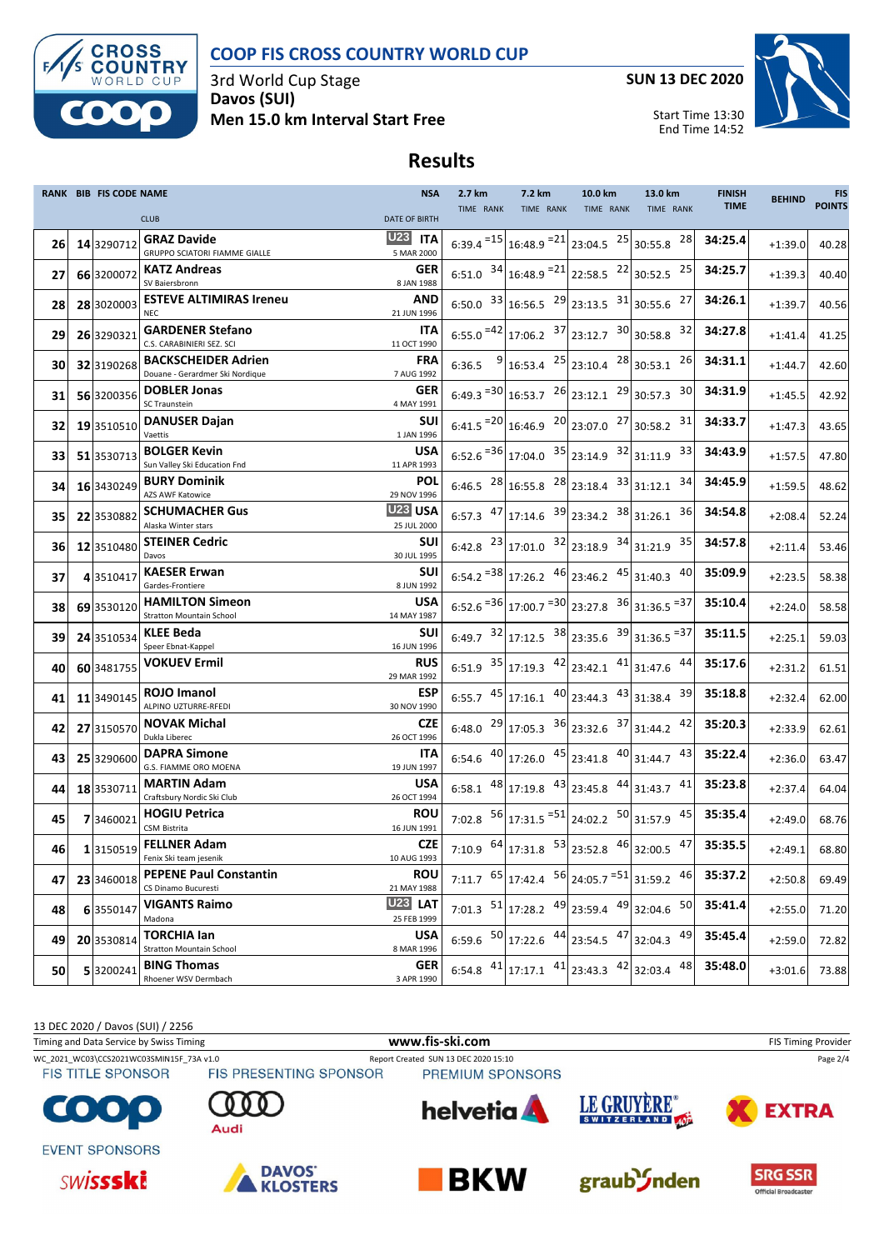

3rd World Cup Stage **Davos (SUI) Men 15.0 km Interval Start Free** **SUN 13 DEC 2020**



Start Time 13:30 End Time 14:52

#### **Results**

|    | RANK BIB FIS CODE NAME |                                                               | <b>NSA</b>                    | 2.7 km    | 7.2 km                                                                                      | 10.0 km   | 13.0 km                                                        | <b>FINISH</b><br><b>TIME</b> | <b>BEHIND</b> | <b>FIS</b><br><b>POINTS</b> |
|----|------------------------|---------------------------------------------------------------|-------------------------------|-----------|---------------------------------------------------------------------------------------------|-----------|----------------------------------------------------------------|------------------------------|---------------|-----------------------------|
|    |                        | <b>CLUB</b>                                                   | <b>DATE OF BIRTH</b>          | TIME RANK | TIME RANK                                                                                   | TIME RANK | TIME RANK                                                      |                              |               |                             |
| 26 | 14 3290712             | <b>GRAZ Davide</b><br>GRUPPO SCIATORI FIAMME GIALLE           | <b>U23 ITA</b><br>5 MAR 2000  |           | 6:39.4 = $15 \big  16:48.9 = 21 \big  23:04.5$ $25 \big  30:55.8$                           |           | 28                                                             | 34:25.4                      | $+1:39.0$     | 40.28                       |
| 27 | 66 3200072             | <b>KATZ Andreas</b><br>SV Baiersbronn                         | GER<br>8 JAN 1988             |           | 6:51.0 $34 16:48.9 = 21 22:58.5$ $22 30:52.5$                                               |           | 25                                                             | 34:25.7                      | $+1:39.3$     | 40.40                       |
| 28 | 28 3020003             | <b>ESTEVE ALTIMIRAS Ireneu</b><br><b>NEC</b>                  | <b>AND</b><br>21 JUN 1996     |           | 6:50.0 $33 16:56.5$ $29 23:13.5$ $31 30:55.6$                                               |           | 27                                                             | 34:26.1                      | $+1:39.7$     | 40.56                       |
| 29 | 26 3290321             | <b>GARDENER Stefano</b><br>C.S. CARABINIERI SEZ. SCI          | <b>ITA</b><br>11 OCT 1990     |           | $6:55.0$ = 42 17:06.2 37 23:12.7 30 30:58.8                                                 |           | 32                                                             | 34:27.8                      | $+1:41.4$     | 41.25                       |
| 30 | 32 3190268             | <b>BACKSCHEIDER Adrien</b><br>Douane - Gerardmer Ski Nordique | <b>FRA</b><br>7 AUG 1992      |           | 6:36.5 $9 16:53.4 \n25 23:10.4 \n28 30:53.1$                                                |           | 26                                                             | 34:31.1                      | $+1:44.7$     | 42.60                       |
| 31 | 56 3200356             | <b>DOBLER Jonas</b><br>SC Traunstein                          | GER<br>4 MAY 1991             |           | $6:49.3$ <sup>=30</sup> 16:53.7 $^{26}$ 23:12.1 $^{29}$ 30:57.3                             |           | 30                                                             | 34:31.9                      | $+1:45.5$     | 42.92                       |
| 32 | 19 3510510             | <b>DANUSER Dajan</b><br>Vaettis                               | <b>SUI</b><br>1 JAN 1996      |           | $6:41.5$ <sup>=20</sup> 16:46.9 <sup>20</sup> 23:07.0 <sup>27</sup> 30:58.2                 |           | 31                                                             | 34:33.7                      | $+1:47.3$     | 43.65                       |
| 33 | <b>51</b> 3530713      | <b>BOLGER Kevin</b><br>Sun Valley Ski Education Fnd           | <b>USA</b><br>11 APR 1993     |           | $6:52.6$ <sup>=36</sup> 17:04.0 $35$ 23:14.9 $32$ 31:11.9                                   |           | 33                                                             | 34:43.9                      | $+1:57.5$     | 47.80                       |
| 34 | 16 3430249             | <b>BURY Dominik</b><br>AZS AWF Katowice                       | <b>POL</b><br>29 NOV 1996     |           | 6:46.5 $^{28}$ 16:55.8 $^{28}$ 23:18.4 $^{33}$ 31:12.1                                      |           | 34                                                             | 34:45.9                      | $+1:59.5$     | 48.62                       |
| 35 | 22 3530882             | <b>SCHUMACHER Gus</b><br>Alaska Winter stars                  | <b>U23 USA</b><br>25 JUL 2000 |           | 6:57.3 $47$ 17:14.6 $39$ 23:34.2 $38$ 31:26.1                                               |           | 36                                                             | 34:54.8                      | $+2:08.4$     | 52.24                       |
| 36 | 12 3510480             | <b>STEINER Cedric</b><br>Davos                                | <b>SUI</b><br>30 JUL 1995     |           | $6:42.8$ $23 \mid 17:01.0$ $32 \mid 23:18.9$ $34 \mid 31:21.9$                              |           | 35                                                             | 34:57.8                      | $+2:11.4$     | 53.46                       |
| 37 | 4 3510417              | <b>KAESER Erwan</b><br>Gardes-Frontiere                       | SUI<br>8 JUN 1992             |           | $6:54.2$ <sup>=38</sup> 17:26.2 $46$ 23:46.2 $45$ 31:40.3                                   |           | 40                                                             | 35:09.9                      | $+2:23.5$     | 58.38                       |
| 38 | 69 3530120             | <b>HAMILTON Simeon</b><br><b>Stratton Mountain School</b>     | <b>USA</b><br>14 MAY 1987     |           | $6:52.6$ <sup>=36</sup> 17:00.7 <sup>=30</sup> 23:27.8 <sup>36</sup> 31:36.5 <sup>=37</sup> |           |                                                                | 35:10.4                      | $+2:24.0$     | 58.58                       |
| 39 | 24 3510534             | <b>KLEE Beda</b><br>Speer Ebnat-Kappel                        | <b>SUI</b><br>16 JUN 1996     |           | 6:49.7 $32 17:12.5$ $38 23:35.6$ $39 31:36.5$ = 37                                          |           |                                                                | 35:11.5                      | $+2:25.1$     | 59.03                       |
| 40 | 60 3481755             | <b>VOKUEV Ermil</b>                                           | <b>RUS</b><br>29 MAR 1992     |           |                                                                                             |           | 6:51.9 $35 17:19.3$ $42 23:42.1$ $41 31:47.6$ $44 $            | 35:17.6                      | $+2:31.2$     | 61.51                       |
| 41 | 11 3490145             | <b>ROJO Imanol</b><br>ALPINO UZTURRE-RFEDI                    | ESP<br>30 NOV 1990            |           | 6:55.7 $45 \mid 17:16.1$ $40 \mid 23:44.3$ $43 \mid 31:38.4$                                |           | 39                                                             | 35:18.8                      | $+2:32.4$     | 62.00                       |
| 42 | 27 3150570             | <b>NOVAK Michal</b><br>Dukla Liberec                          | <b>CZE</b><br>26 OCT 1996     |           | 6:48.0 $^{29}$ 17:05.3 $^{36}$ 23:32.6 $^{37}$ 31:44.2                                      |           | 42                                                             | 35:20.3                      | $+2:33.9$     | 62.61                       |
| 43 | 25 3290600             | <b>DAPRA Simone</b><br>G.S. FIAMME ORO MOENA                  | ITA<br>19 JUN 1997            |           | 6:54.6 $^{40}$ 17:26.0 $^{45}$ 23:41.8 $^{40}$ 31:44.7                                      |           | 43                                                             | 35:22.4                      | $+2:36.0$     | 63.47                       |
| 44 | 18 3530711             | <b>MARTIN Adam</b><br>Craftsbury Nordic Ski Club              | <b>USA</b><br>26 OCT 1994     |           | 6:58.1 $48 \mid 17:19.8$ $43 \mid 23:45.8$ $44 \mid 31:43.7$                                |           | 41                                                             | 35:23.8                      | $+2:37.4$     | 64.04                       |
| 45 | 73460021               | <b>HOGIU Petrica</b><br>CSM Bistrita                          | <b>ROU</b><br>16 JUN 1991     |           |                                                                                             |           | 7:02.8 $56 17:31.5$ = $51 24:02.2$ $50 31:57.9$ $45 $          | 35:35.4                      | $+2:49.0$     | 68.76                       |
| 46 | 1 3150519              | <b>FELLNER Adam</b><br>Fenix Ski team jesenik                 | CZE<br>10 AUG 1993            |           |                                                                                             |           | 7:10.9 $^{64}$ 17:31.8 $^{53}$ 23:52.8 $^{46}$ 32:00.5 $^{47}$ | 35:35.5                      | $+2:49.1$     | 68.80                       |
| 47 | 23 3460018             | <b>PEPENE Paul Constantin</b><br>CS Dinamo Bucuresti          | <b>ROU</b><br>21 MAY 1988     |           | 7:11.7 $\left.65\right $ 17:42.4 $\left.56\right $ 24:05.7 $\left.51\right $ 31:59.2        |           | 46                                                             | 35:37.2                      | $+2:50.8$     | 69.49                       |
| 48 | 6 3550147              | <b>VIGANTS Raimo</b><br>Madona                                | <b>U23 LAT</b><br>25 FEB 1999 |           |                                                                                             |           | 7:01.3 $51$ 17:28.2 $49$ 23:59.4 $49$ 32:04.6 $50$             | 35:41.4                      | $+2:55.0$     | 71.20                       |
| 49 | 20 3530814             | <b>TORCHIA lan</b><br><b>Stratton Mountain School</b>         | <b>USA</b><br>8 MAR 1996      |           |                                                                                             |           | 6:59.6 $50 17:22.6$ $44 23:54.5$ $47 32:04.3$ $49 $            | 35:45.4                      | $+2:59.0$     | 72.82                       |
| 50 | 53200241               | <b>BING Thomas</b><br>Rhoener WSV Dermbach                    | <b>GER</b><br>3 APR 1990      |           |                                                                                             |           | 6:54.8 $41$ 17:17.1 $41$ 23:43.3 $42$ 32:03.4 $48$             | 35:48.0                      | $+3:01.6$     | 73.88                       |

13 DEC 2020 / Davos (SUI) / 2256 Timing and Data Service by Swiss Timing **WWW.fis-Ski.com www.fis-ski.com** FIS Timing Provider WC\_2021\_WC03\CCS2021WC03SMIN15F\_73A v1.0 Report Created SUN 13 DEC 2020 15:10 Page 2/4<br>FIS TITLE SPONSOR FIS PRESENTING SPONSOR PREMIUM SPONSORS **FIS TITLE SPONSOR** PREMIUM SPONSORS LE GRUYÈRE® helvetia A **COR EXTRA** SWITZERLAND 40 Audi **EVENT SPONSORS DAVOS** graub<sup>3</sup>/nden **SWISSSKi BKW SRG SSR KLOSTERS** .<br>Official Broadcaster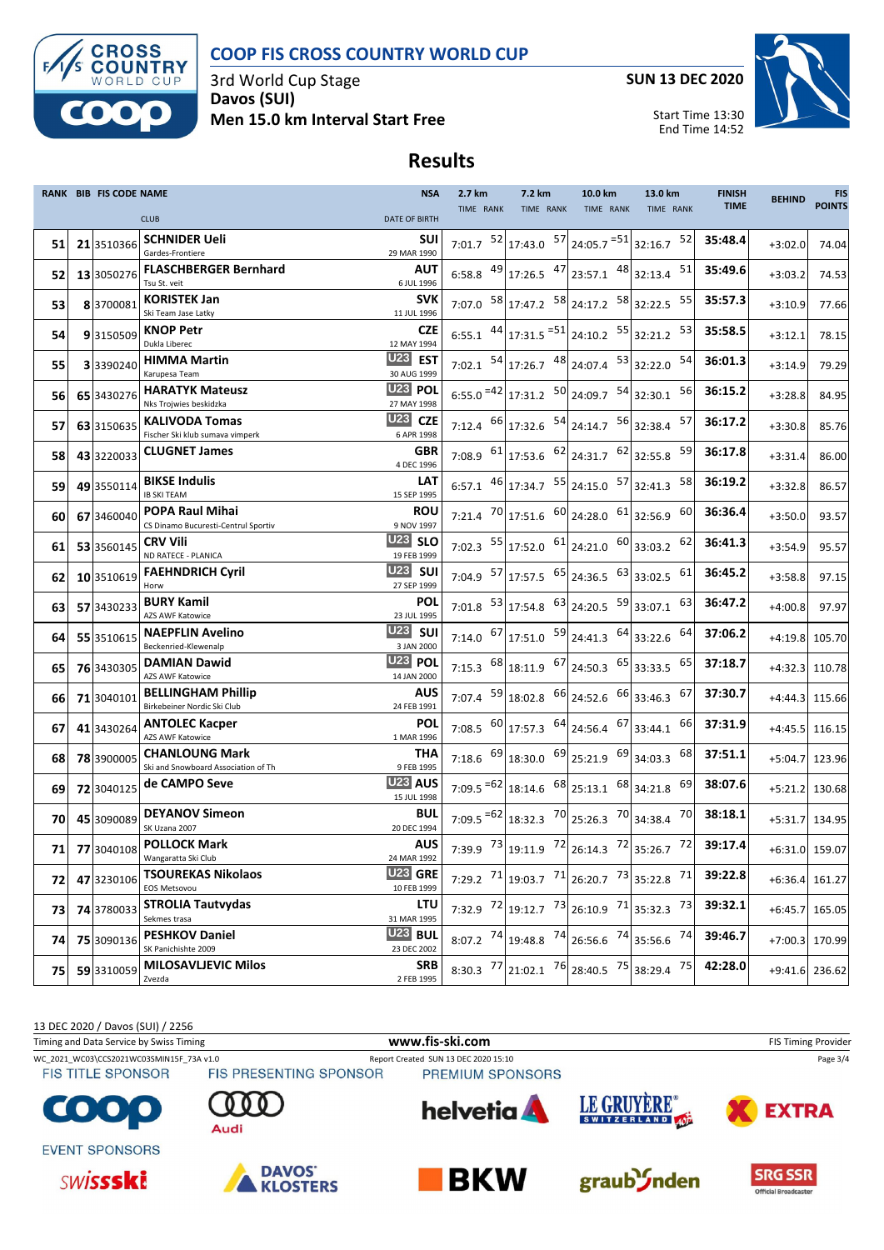

3rd World Cup Stage **Davos (SUI) Men 15.0 km Interval Start Free** **SUN 13 DEC 2020**



Start Time 13:30 End Time 14:52

# **Results**

|      | <b>RANK BIB FIS CODE NAME</b> |                                                                          | <b>NSA</b>                                  | 2.7 km      | 7.2 km                                                                                                                                                       | 10.0 km   | 13.0 km                                                        | <b>FINISH</b> | <b>BEHIND</b>  | <b>FIS</b><br><b>POINTS</b> |
|------|-------------------------------|--------------------------------------------------------------------------|---------------------------------------------|-------------|--------------------------------------------------------------------------------------------------------------------------------------------------------------|-----------|----------------------------------------------------------------|---------------|----------------|-----------------------------|
|      |                               | <b>CLUB</b>                                                              | <b>DATE OF BIRTH</b>                        | TIME RANK   | TIME RANK                                                                                                                                                    | TIME RANK | TIME RANK                                                      | <b>TIME</b>   |                |                             |
| 51   | 21 3510366                    | <b>SCHNIDER Ueli</b><br>Gardes-Frontiere                                 | <b>SUI</b><br>29 MAR 1990                   |             | 7:01.7 $52 17:43.0$ $57 24:05.7$ $=51 32:16.7$                                                                                                               |           | 52                                                             | 35:48.4       | $+3:02.0$      | 74.04                       |
| 52   | 13 3050276                    | <b>FLASCHBERGER Bernhard</b><br>Tsu St. veit                             | AUT<br>6 JUL 1996                           |             | 6:58.8 $^{49}$ 17:26.5 $^{47}$ 23:57.1 $^{48}$ 32:13.4                                                                                                       |           | 51                                                             | 35:49.6       | $+3:03.2$      | 74.53                       |
| 53   | 83700081                      | <b>KORISTEK Jan</b><br>Ski Team Jase Latky                               | <b>SVK</b><br>11 JUL 1996                   |             | 7:07.0 $^{58}$ 17:47.2 $^{58}$ 24:17.2 $^{58}$ 32:22.5                                                                                                       |           | 55                                                             | 35:57.3       | $+3:10.9$      | 77.66                       |
| 54   | 93150509                      | <b>KNOP Petr</b><br>Dukla Liberec                                        | <b>CZE</b><br>12 MAY 1994                   |             | $6:55.1$ $44$ 17:31.5 $=$ 51 24:10.2 55 32:21.2                                                                                                              |           | 53                                                             | 35:58.5       | $+3:12.1$      | 78.15                       |
| 55   | 3 3390240                     | <b>HIMMA Martin</b>                                                      | U23 EST<br>30 AUG 1999                      |             | 7:02.1 $\begin{bmatrix} 54 \\ 17 \\ 26.7 \end{bmatrix}$ $\begin{bmatrix} 48 \\ 24 \\ 07.4 \end{bmatrix}$ $\begin{bmatrix} 53 \\ 32 \\ 22.0 \end{bmatrix}$    |           | 54                                                             | 36:01.3       | $+3:14.9$      | 79.29                       |
| 56   | 65 3430276                    | Karupesa Team<br><b>HARATYK Mateusz</b>                                  | U <sub>23</sub> POL                         |             | $6:55.0$ <sup>=42</sup> 17:31.2 $50$ 24:09.7 $54$ 32:30.1                                                                                                    |           | 56                                                             | 36:15.2       | $+3:28.8$      | 84.95                       |
| 57   | 63 3150635                    | Nks Trojwies beskidzka<br><b>KALIVODA Tomas</b>                          | 27 MAY 1998<br><b>U23 CZE</b>               |             | 7:12.4 $^{66}$ 17:32.6 $^{54}$ 24:14.7 $^{56}$ 32:38.4                                                                                                       |           | 57                                                             | 36:17.2       | $+3:30.8$      | 85.76                       |
| 58   | 43 3220033                    | Fischer Ski klub sumava vimperk<br><b>CLUGNET James</b>                  | 6 APR 1998<br><b>GBR</b>                    |             | 7:08.9 $^{61}$ 17:53.6 $^{62}$ 24:31.7 $^{62}$ 32:55.8                                                                                                       |           | 59                                                             | 36:17.8       | $+3:31.4$      | 86.00                       |
| 59   | 49 3550114                    | <b>BIKSE Indulis</b>                                                     | 4 DEC 1996<br>LAT                           |             | 6:57.1 $^{46}$ 17:34.7 $^{55}$ 24:15.0 $^{57}$ 32:41.3                                                                                                       |           | 58                                                             | 36:19.2       | $+3:32.8$      | 86.57                       |
| 60   | 67 3460040                    | <b>IB SKI TEAM</b><br><b>POPA Raul Mihai</b>                             | 15 SEP 1995<br><b>ROU</b>                   |             | 7:21.4 $^{70}$ 17:51.6 $^{60}$ 24:28.0 $^{61}$ 32:56.9                                                                                                       |           | 60                                                             | 36:36.4       | $+3:50.0$      | 93.57                       |
| 61   | 53 3560145                    | CS Dinamo Bucuresti-Centrul Sportiv<br><b>CRV Vili</b>                   | 9 NOV 1997<br><b>U23 SLO</b>                |             | 7:02.3 $55 17:52.0$ $61 24:21.0$ $60 33:03.2$                                                                                                                |           | 62                                                             | 36:41.3       | $+3:54.9$      | 95.57                       |
| 62   | 10 3510619                    | ND RATECE - PLANICA<br><b>FAEHNDRICH Cyril</b>                           | 19 FEB 1999<br><b>U23</b> SUI               |             | 7:04.9 $\begin{array}{ c c c c c c c c } \hline 7:04.9 & \hline 57 & 17:57.5 & \hline 65 & 24:36.5 & \hline \end{array}$ 33:02.5                             |           | 61                                                             | 36:45.2       | $+3:58.8$      | 97.15                       |
| 63   | 57 3430233                    | Horw<br><b>BURY Kamil</b>                                                | 27 SEP 1999<br><b>POL</b>                   |             | 7:01.8 $\begin{array}{ c c c c c c c c } \hline 7:01.8 & \end{array}$ 53 17:54.8 $\begin{array}{ c c c c c c } \hline 63 & 24:20.5 & \end{array}$ 59 33:07.1 |           | 63                                                             | 36:47.2       | $+4:00.8$      | 97.97                       |
| 64   | 55 3510615                    | <b>AZS AWF Katowice</b><br><b>NAEPFLIN Avelino</b>                       | 23 JUL 1995<br>$U23$ SUI                    |             | 7:14.0 $\begin{bmatrix} 67 \\ 17.51.0 \end{bmatrix}$ $\begin{bmatrix} 59 \\ 24.41.3 \end{bmatrix}$ $\begin{bmatrix} 64 \\ 33.22.6 \end{bmatrix}$             |           | 64                                                             | 37:06.2       | $+4:19.8$      | 105.70                      |
| 65   | 76 3430305                    | Beckenried-Klewenalp<br><b>DAMIAN Dawid</b>                              | 3 JAN 2000<br>U23 POL                       |             | 7:15.3 $^{68}$ 18:11.9 $^{67}$ 24:50.3 $^{65}$ 33:33.5                                                                                                       |           | 65                                                             | 37:18.7       | $+4:32.3$      | 110.78                      |
| 66   | 71 3040101                    | AZS AWF Katowice<br><b>BELLINGHAM Phillip</b>                            | 14 JAN 2000<br><b>AUS</b>                   |             | 7:07.4 $\begin{array}{ c} 59 \end{array}$ 18:02.8 $\begin{array}{ c} 66 \end{array}$ 24:52.6                                                                 |           | 66 33:46.3<br>67                                               | 37:30.7       | $+4:44.3$      | 115.66                      |
| 67   | 41 3430264                    | Birkebeiner Nordic Ski Club<br><b>ANTOLEC Kacper</b><br>AZS AWF Katowice | 24 FEB 1991<br><b>POL</b><br>1 MAR 1996     |             | 7:08.5 $^{60}$ 17:57.3 $^{64}$ 24:56.4 $^{67}$ 33:44.1                                                                                                       |           | 66                                                             | 37:31.9       | $+4:45.5$      | 116.15                      |
| 68   | 78 3900005                    | <b>CHANLOUNG Mark</b>                                                    | THA                                         |             | 7:18.6 $^{69}$ 18:30.0 $^{69}$ 25:21.9 $^{69}$ 34:03.3                                                                                                       |           | 68                                                             | 37:51.1       | $+5:04.7$      | 123.96                      |
| 69   | 72 3040125                    | Ski and Snowboard Association of Th<br>de CAMPO Seve                     | 9 FEB 1995<br><b>U23 AUS</b><br>15 JUL 1998 |             | 7:09.5 $^{-62}$ 18:14.6 $^{68}$ 25:13.1 $^{68}$ 34:21.8                                                                                                      |           | 69                                                             | 38:07.6       | $+5:21.2$      | 130.68                      |
| 70 I | 45 3090089                    | <b>DEYANOV Simeon</b><br>SK Uzana 2007                                   | <b>BUL</b><br>20 DEC 1994                   |             | 7:09.5 $^{-62}$ 18:32.3 $^{70}$ 25:26.3 $^{70}$ 34:38.4                                                                                                      |           | 70                                                             | 38:18.1       | +5:31.7 134.95 |                             |
| 71   |                               | 77 3040108 POLLOCK Mark                                                  | AUS<br>24 MAR 1992                          |             |                                                                                                                                                              |           | 7:39.9 $^{73}$ 19:11.9 $^{72}$ 26:14.3 $^{72}$ 35:26.7 $^{72}$ | 39:17.4       |                | +6:31.0 159.07              |
| 72   | 47 3230106                    | Wangaratta Ski Club<br><b>TSOUREKAS Nikolaos</b><br>EOS Metsovou         | <b>U23 GRE</b><br>10 FEB 1999               |             | 7:29.2 $71$ 19:03.7 $71$ 26:20.7 $73$ 35:22.8                                                                                                                |           | 71                                                             | 39:22.8       | +6:36.4 161.27 |                             |
| 73   | 74 3780033                    | <b>STROLIA Tautvydas</b><br>Sekmes trasa                                 | LTU<br>31 MAR 1995                          |             | 7:32.9 $^{72}$ 19:12.7 $^{73}$ 26:10.9 $^{71}$ 35:32.3 $^{73}$                                                                                               |           |                                                                | 39:32.1       |                | $+6:45.7$ 165.05            |
| 74   | 75 3090136                    | <b>PESHKOV Daniel</b><br>SK Panichishte 2009                             | <b>U23 BUL</b><br>23 DEC 2002               | $8:07.2$ 74 | 19:48.8 74 26:56.6 74 35:56.6 74                                                                                                                             |           |                                                                | 39:46.7       |                | +7:00.3 170.99              |
| 75   | 59 3310059                    | <b>MILOSAVLIEVIC Milos</b><br>Zvezda                                     | <b>SRB</b><br>2 FEB 1995                    |             | 8:30.3 $^{77}$ 21:02.1 $^{76}$ 28:40.5 $^{75}$ 38:29.4 $^{75}$                                                                                               |           |                                                                | 42:28.0       | +9:41.6 236.62 |                             |

13 DEC 2020 / Davos (SUI) / 2256 Timing and Data Service by Swiss Timing **WWW.fis-Ski.com www.fis-ski.com** FIS Timing Provider WC\_2021\_WC03\CCS2021WC03SMIN15F\_73A v1.0 Report Created SUN 13 DEC 2020 15:10 Page 3/4<br>FIS TITLE SPONSOR FIS PRESENTING SPONSOR PREMIUM SPONSORS **FIS TITLE SPONSOR** PREMIUM SPONSORS LE GRUYÈRE® **helvetia** CO) **EXTRA** SWITZERLAND 40 Audi **EVENT SPONSORS DAVOS SWISSSKi BKW** graub *Inden* **SRG SSR KLOSTERS** .<br>Official Broadcaster